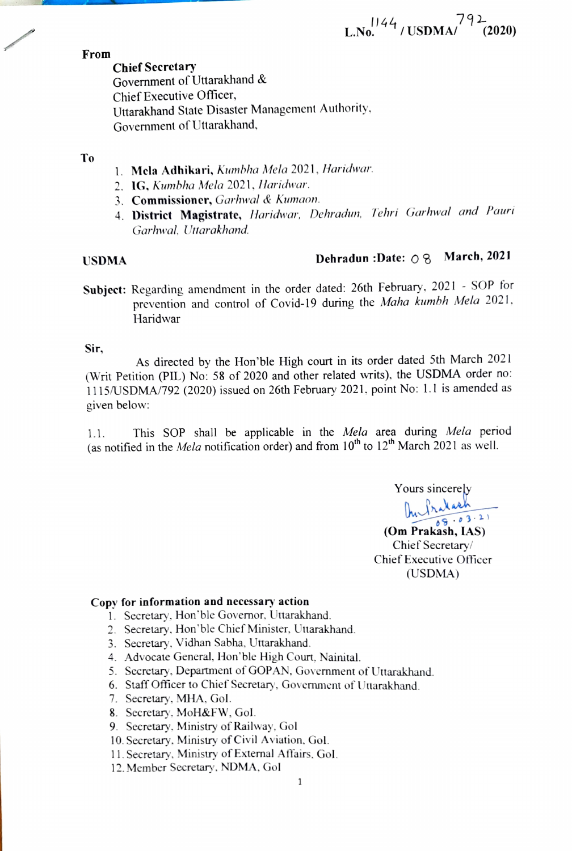$L.No.<sup>1144</sup>/USDMA<sup>792</sup> (2020)$ 

From

Chief Secretary Government of Uttarakhand & Chief Executive Officer, Uttarakhand State Disaster Management Authority, Government of Uttarakhand.

## To

- 1. Mela Adhikari, Kumbha Mela 2021, Haridwar.
- 2. IG, Kumbha Mela 2021, Haridwar.
- 3. **Commissioner,** Garhwal & Kumaon.
- 4. District Magistrate, Haridwar, Dehradun, Tehri Garhwal and Pauri Garhwal. Utarakhand.

# USDMA Dehradun :Date:  $\bigcirc$  8 March, 2021

Subject: Regarding amendment in the order dated: 26th February, 2021 - SOP for prevention and control of Covid-19 during the Maha kumbh Mela 2021. Haridwar

## Sir,

As directed by the Hon'ble High court in its order dated 5th March 2021 (Writ Petition (PIL) No: 58 of 2020 and other related writs). the USDMA order no: 1115/USDMA/792 (2020) issued on 26th February 2021. point No: 1.I is amended as given below:

This SOP shall be applicable in the Mela area during Mela period (as notified in the *Mela* notification order) and from  $10^{th}$  to  $12^{th}$  March 2021 as well. 1.1

> Yours sincerely  $\frac{1}{2}$   $\frac{3}{2}$

(Om Prakash, LAS) Chief Secretary/ Chief Executive Officer (USDMA)

## Copy for information and necessary action

- . Secretary, Hon' ble Governor, Uttarakhand.
- 2. Secretary. Hon' ble Chief Minister, Utarakhand.
- 3. Secretary. Vidhan Sabha. Uttarakhand
- 4. Advocate General, Hon'ble High Court, Nainital.
- 5. Secretary. Department of GOPAN, Govenment of Utarakhand.
- 6. StaffOfficer to Chief Secretary. Government of Utarakhand.
- 7. Secretary, MHA. Gol.
- 8. Secretary, MoH&FW, Gol.
- 9. Secretary. Ministry of Railway, Gol
- 10. Secretary. Ministry of Civil Aviation, Gol.
- 11. Secretary, Ministry of External Affairs. Gol.
- 12. Member Secretary. NDMA. Gol